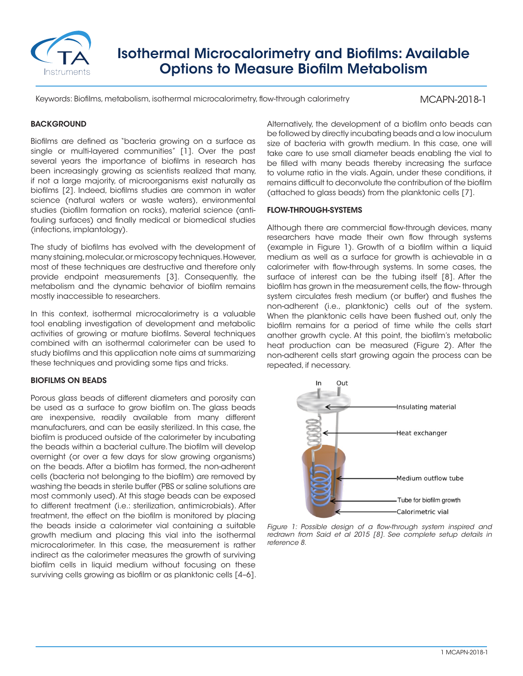

# Isothermal Microcalorimetry and Biofilms: Available Options to Measure Biofilm Metabolism

Keywords: Biofilms, metabolism, isothermal microcalorimetry, flow-through calorimetry

MCAPN-2018-1

## **BACKGROUND**

Biofilms are defined as "bacteria growing on a surface as single or multi-layered communities" [1]. Over the past several years the importance of biofilms in research has been increasingly growing as scientists realized that many, if not a large majority, of microorganisms exist naturally as biofilms [2]. Indeed, biofilms studies are common in water science (natural waters or waste waters), environmental studies (biofilm formation on rocks), material science (antifouling surfaces) and finally medical or biomedical studies (infections, implantology).

The study of biofilms has evolved with the development of many staining, molecular, or microscopy techniques. However, most of these techniques are destructive and therefore only provide endpoint measurements [3]. Consequently, the metabolism and the dynamic behavior of biofilm remains mostly inaccessible to researchers.

In this context, isothermal microcalorimetry is a valuable tool enabling investigation of development and metabolic activities of growing or mature biofilms. Several techniques combined with an isothermal calorimeter can be used to study biofilms and this application note aims at summarizing these techniques and providing some tips and tricks.

## BIOFILMS ON BEADS

Porous glass beads of different diameters and porosity can be used as a surface to grow biofilm on. The glass beads are inexpensive, readily available from many different manufacturers, and can be easily sterilized. In this case, the biofilm is produced outside of the calorimeter by incubating the beads within a bacterial culture. The biofilm will develop overnight (or over a few days for slow growing organisms) on the beads. After a biofilm has formed, the non-adherent cells (bacteria not belonging to the biofilm) are removed by washing the beads in sterile buffer (PBS or saline solutions are most commonly used). At this stage beads can be exposed to different treatment (i.e.: sterilization, antimicrobials). After treatment, the effect on the biofilm is monitored by placing the beads inside a calorimeter vial containing a suitable growth medium and placing this vial into the isothermal microcalorimeter. In this case, the measurement is rather indirect as the calorimeter measures the growth of surviving biofilm cells in liquid medium without focusing on these surviving cells growing as biofilm or as planktonic cells [4–6].

Alternatively, the development of a biofilm onto beads can be followed by directly incubating beads and a low inoculum size of bacteria with growth medium. In this case, one will take care to use small diameter beads enabling the vial to be filled with many beads thereby increasing the surface to volume ratio in the vials. Again, under these conditions, it remains difficult to deconvolute the contribution of the biofilm (attached to glass beads) from the planktonic cells [7].

## FLOW-THROUGH-SYSTEMS

Although there are commercial flow-through devices, many researchers have made their own flow through systems (example in Figure 1). Growth of a biofilm within a liquid medium as well as a surface for growth is achievable in a calorimeter with flow-through systems. In some cases, the surface of interest can be the tubing itself [8]. After the biofilm has grown in the measurement cells, the flow- through system circulates fresh medium (or buffer) and flushes the non-adherent (i.e., planktonic) cells out of the system. When the planktonic cells have been flushed out, only the biofilm remains for a period of time while the cells start another growth cycle. At this point, the biofilm's metabolic heat production can be measured (Figure 2). After the non-adherent cells start growing again the process can be repeated, if necessary.



*Figure 1: Possible design of a flow-through system inspired and redrawn from Said et al 2015 [8]. See complete setup details in reference 8.*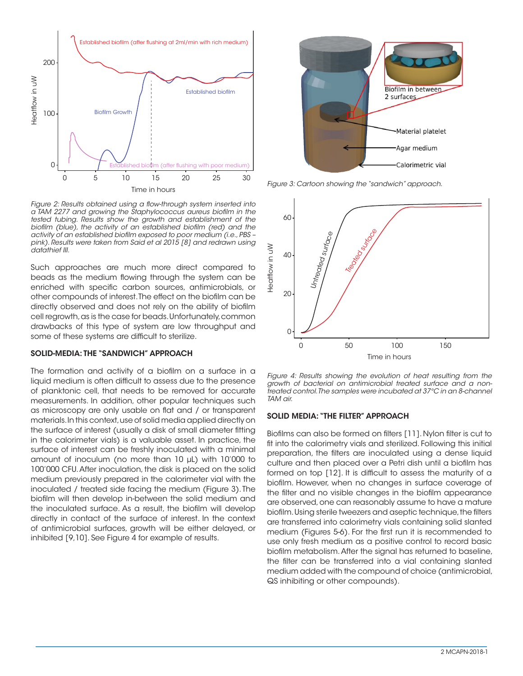

*Figure 2: Results obtained using a flow-through system inserted into a TAM 2277 and growing the Staphylococcus aureus biofilm in the tested tubing. Results show the growth and establishment of the biofilm (blue), the activity of an established biofilm (red) and the activity of an established biofilm exposed to poor medium (i.e., PBS – pink). Results were taken from Said et al 2015 [8] and redrawn using datathief III.*

Such approaches are much more direct compared to beads as the medium flowing through the system can be enriched with specific carbon sources, antimicrobials, or other compounds of interest. The effect on the biofilm can be directly observed and does not rely on the ability of biofilm cell regrowth, as is the case for beads. Unfortunately, common drawbacks of this type of system are low throughput and some of these systems are difficult to sterilize.

#### SOLID-MEDIA: THE "SANDWICH" APPROACH

The formation and activity of a biofilm on a surface in a liquid medium is often difficult to assess due to the presence of planktonic cell, that needs to be removed for accurate measurements. In addition, other popular techniques such as microscopy are only usable on flat and / or transparent materials. In this context, use of solid media applied directly on the surface of interest (usually a disk of small diameter fitting in the calorimeter vials) is a valuable asset. In practice, the surface of interest can be freshly inoculated with a minimal amount of inoculum (no more than 10 μL) with 10'000 to 100'000 CFU. After inoculation, the disk is placed on the solid medium previously prepared in the calorimeter vial with the inoculated / treated side facing the medium (Figure 3). The biofilm will then develop in-between the solid medium and the inoculated surface. As a result, the biofilm will develop directly in contact of the surface of interest. In the context of antimicrobial surfaces, growth will be either delayed, or inhibited [9,10]. See Figure 4 for example of results.



*Figure 3: Cartoon showing the "sandwich" approach.*



*Figure 4: Results showing the evolution of heat resulting from the growth of bacterial on antimicrobial treated surface and a nontreated control. The samples were incubated at 37°C in an 8-channel TAM air.*

### SOLID MEDIA: "THE FILTER" APPROACH

Biofilms can also be formed on filters [11]. Nylon filter is cut to fit into the calorimetry vials and sterilized. Following this initial preparation, the filters are inoculated using a dense liquid culture and then placed over a Petri dish until a biofilm has formed on top [12]. It is difficult to assess the maturity of a biofilm. However, when no changes in surface coverage of the filter and no visible changes in the biofilm appearance are observed, one can reasonably assume to have a mature biofilm. Using sterile tweezers and aseptic technique, the filters are transferred into calorimetry vials containing solid slanted medium (Figures 5-6). For the first run it is recommended to use only fresh medium as a positive control to record basic biofilm metabolism. After the signal has returned to baseline, the filter can be transferred into a vial containing slanted medium added with the compound of choice (antimicrobial, QS inhibiting or other compounds).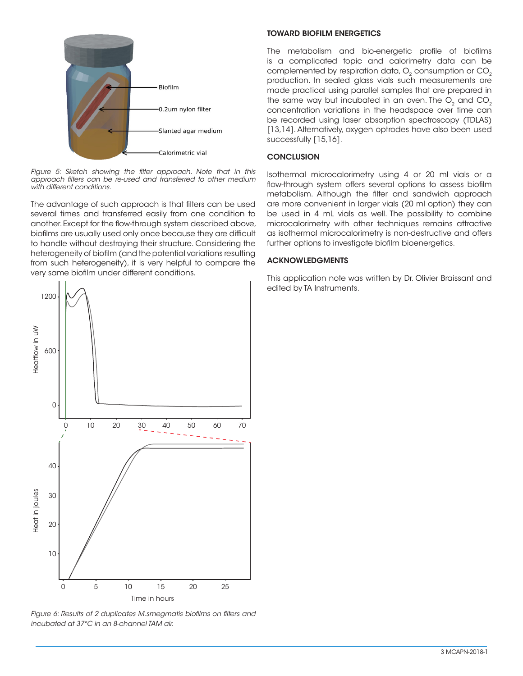

*Figure 5: Sketch showing the filter approach. Note that in this approach filters can be re-used and transferred to other medium with different conditions.*

The advantage of such approach is that filters can be used several times and transferred easily from one condition to another. Except for the flow-through system described above, biofilms are usually used only once because they are difficult to handle without destroying their structure. Considering the heterogeneity of biofilm (and the potential variations resulting from such heterogeneity), it is very helpful to compare the very same biofilm under different conditions.



*Figure 6: Results of 2 duplicates M.smegmatis biofilms on filters and incubated at 37°C in an 8-channel TAM air.* 

## TOWARD BIOFILM ENERGETICS

The metabolism and bio-energetic profile of biofilms is a complicated topic and calorimetry data can be complemented by respiration data, O<sub>2</sub> consumption or CO<sub>2</sub> production. In sealed glass vials such measurements are made practical using parallel samples that are prepared in the same way but incubated in an oven. The  $O<sub>2</sub>$  and  $CO<sub>2</sub>$ concentration variations in the headspace over time can be recorded using laser absorption spectroscopy (TDLAS) [13,14]. Alternatively, oxygen optrodes have also been used successfully [15,16].

## **CONCLUSION**

Isothermal microcalorimetry using 4 or 20 ml vials or a flow-through system offers several options to assess biofilm metabolism. Although the filter and sandwich approach are more convenient in larger vials (20 ml option) they can be used in 4 mL vials as well. The possibility to combine microcalorimetry with other techniques remains attractive as isothermal microcalorimetry is non-destructive and offers further options to investigate biofilm bioenergetics.

## ACKNOWLEDGMENTS

This application note was written by Dr. Olivier Braissant and edited by TA Instruments.